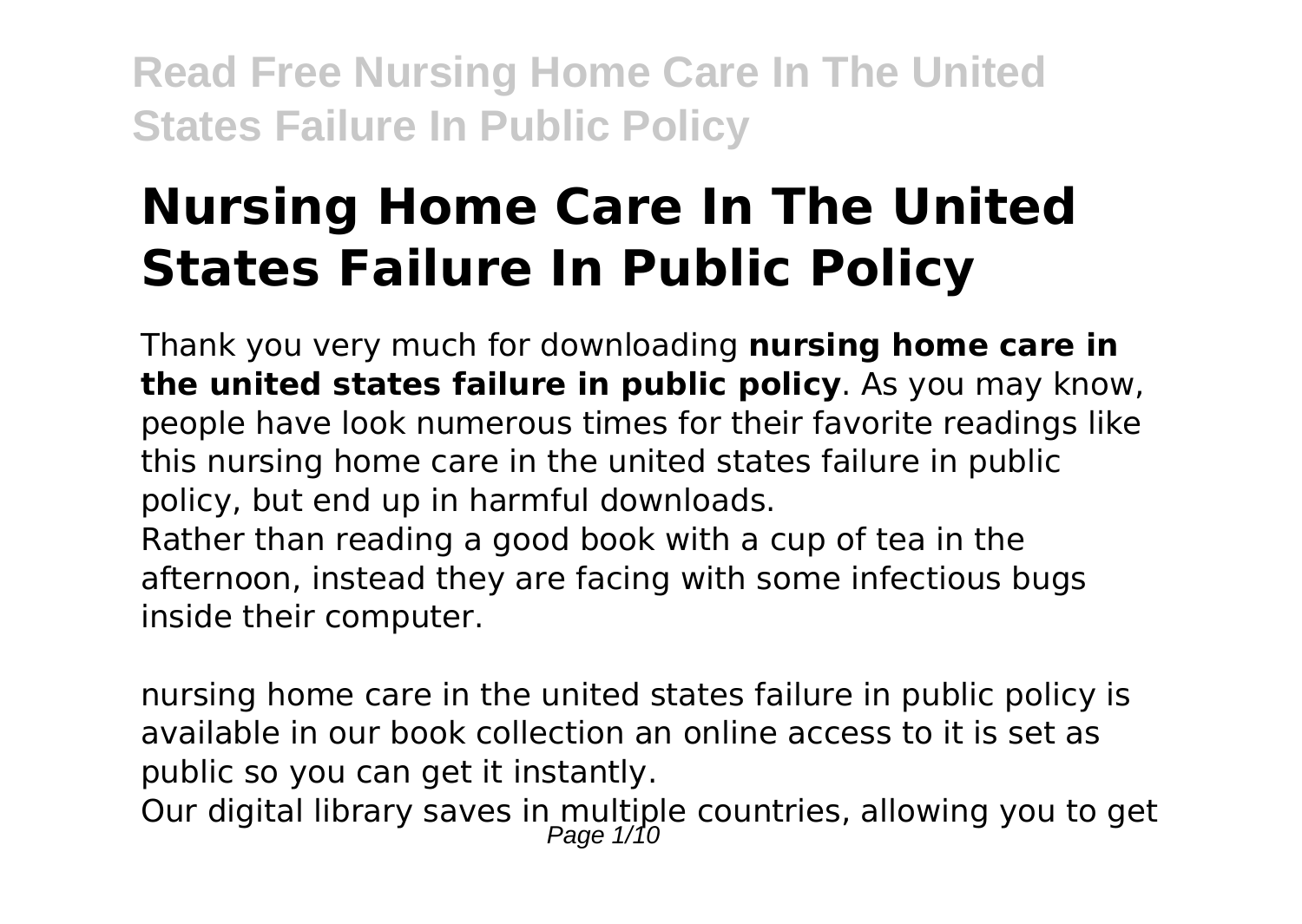# **Nursing Home Care In The United States Failure In Public Policy**

Thank you very much for downloading **nursing home care in the united states failure in public policy**. As you may know, people have look numerous times for their favorite readings like this nursing home care in the united states failure in public policy, but end up in harmful downloads.

Rather than reading a good book with a cup of tea in the afternoon, instead they are facing with some infectious bugs inside their computer.

nursing home care in the united states failure in public policy is available in our book collection an online access to it is set as public so you can get it instantly.

Our digital library saves in multiple countries, allowing you to get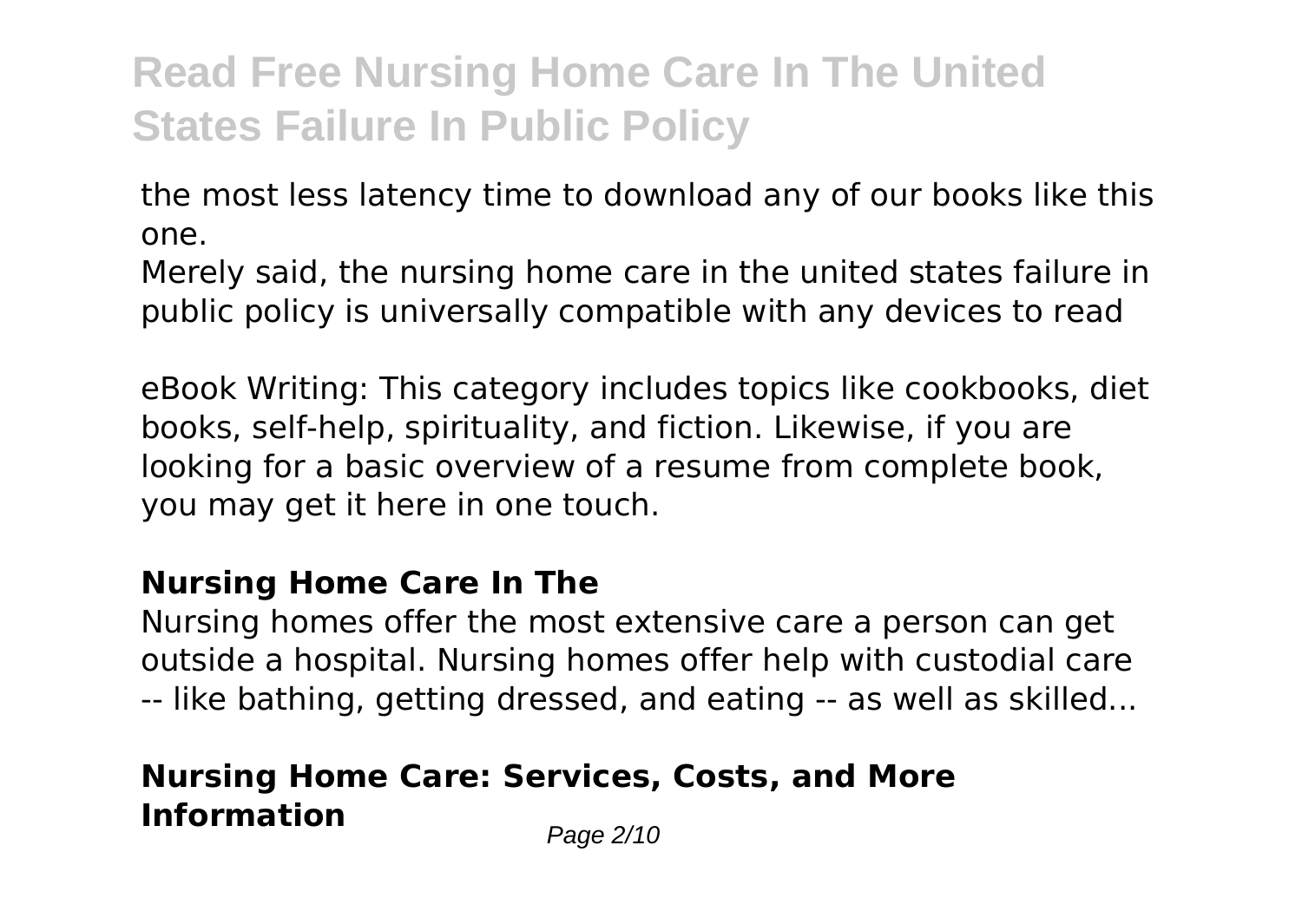the most less latency time to download any of our books like this one.

Merely said, the nursing home care in the united states failure in public policy is universally compatible with any devices to read

eBook Writing: This category includes topics like cookbooks, diet books, self-help, spirituality, and fiction. Likewise, if you are looking for a basic overview of a resume from complete book, you may get it here in one touch.

#### **Nursing Home Care In The**

Nursing homes offer the most extensive care a person can get outside a hospital. Nursing homes offer help with custodial care -- like bathing, getting dressed, and eating -- as well as skilled...

### **Nursing Home Care: Services, Costs, and More Information** Page 2/10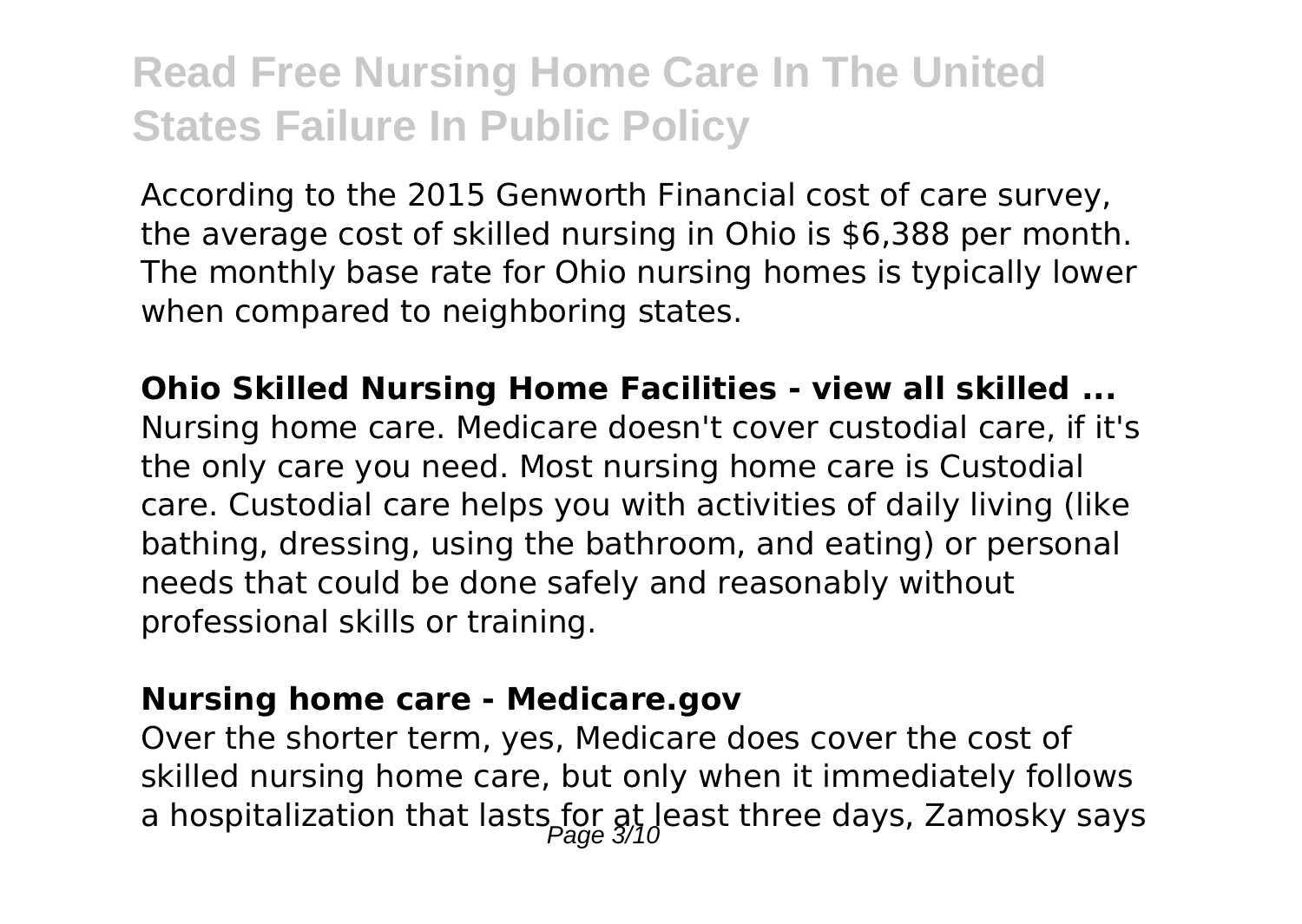According to the 2015 Genworth Financial cost of care survey, the average cost of skilled nursing in Ohio is \$6,388 per month. The monthly base rate for Ohio nursing homes is typically lower when compared to neighboring states.

**Ohio Skilled Nursing Home Facilities - view all skilled ...** Nursing home care. Medicare doesn't cover custodial care, if it's the only care you need. Most nursing home care is Custodial care. Custodial care helps you with activities of daily living (like bathing, dressing, using the bathroom, and eating) or personal needs that could be done safely and reasonably without professional skills or training.

#### **Nursing home care - Medicare.gov**

Over the shorter term, yes, Medicare does cover the cost of skilled nursing home care, but only when it immediately follows a hospitalization that lasts for at least three days, Zamosky says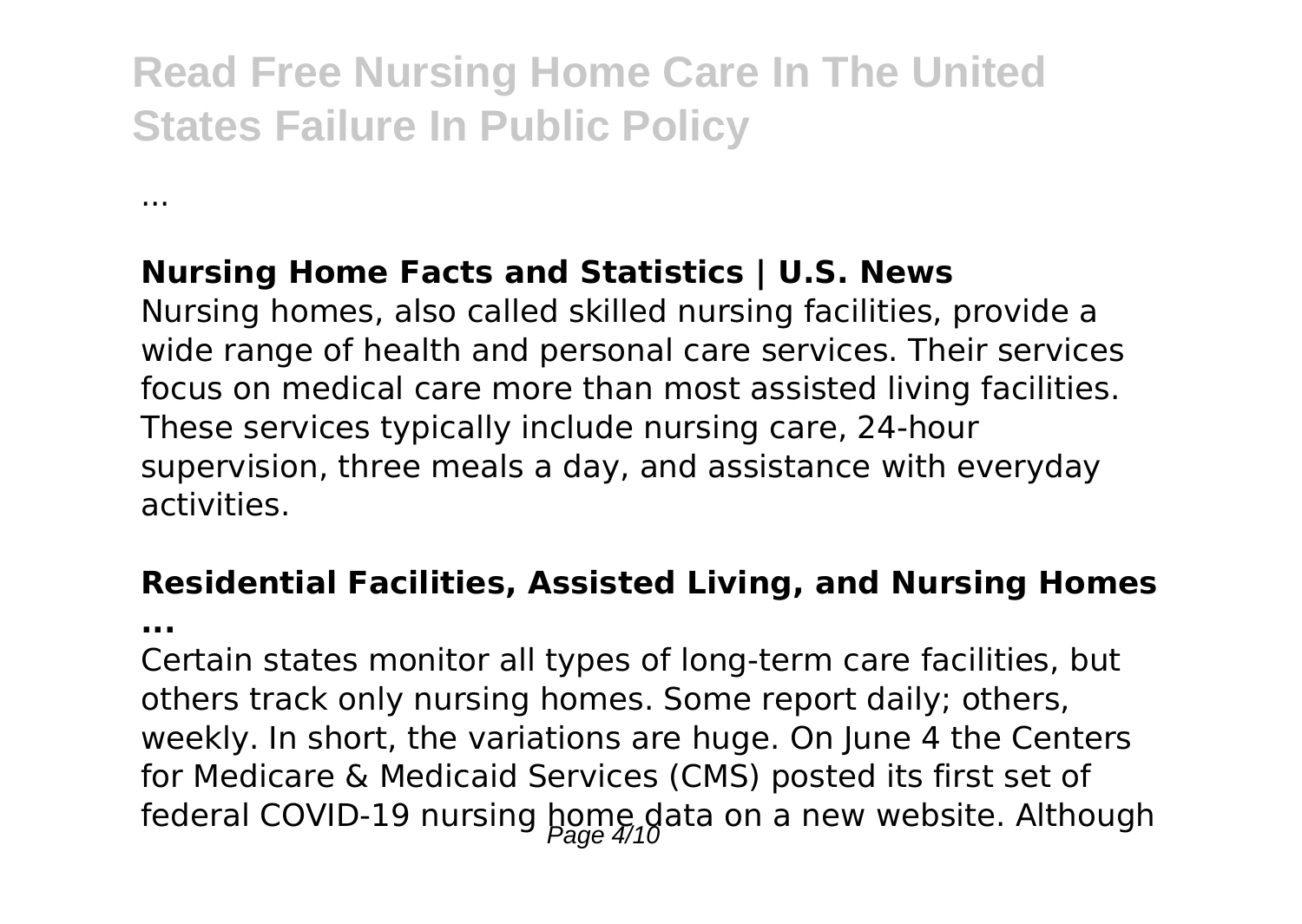### **Nursing Home Facts and Statistics | U.S. News**

Nursing homes, also called skilled nursing facilities, provide a wide range of health and personal care services. Their services focus on medical care more than most assisted living facilities. These services typically include nursing care, 24-hour supervision, three meals a day, and assistance with everyday activities.

### **Residential Facilities, Assisted Living, and Nursing Homes**

**...**

...

Certain states monitor all types of long-term care facilities, but others track only nursing homes. Some report daily; others, weekly. In short, the variations are huge. On June 4 the Centers for Medicare & Medicaid Services (CMS) posted its first set of federal COVID-19 nursing  $\underset{2008}{\text{long}}$  data on a new website. Although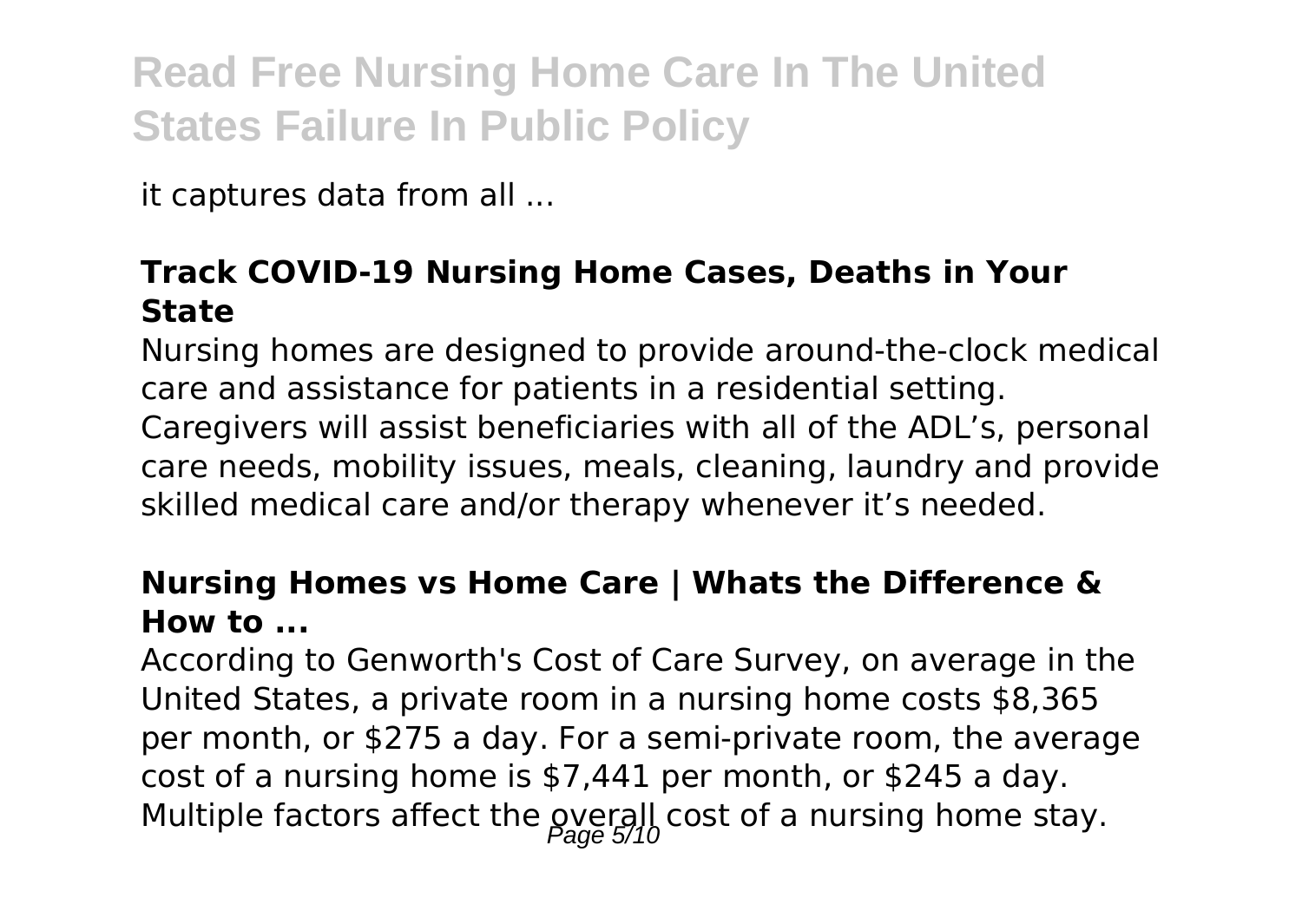it captures data from all ...

### **Track COVID-19 Nursing Home Cases, Deaths in Your State**

Nursing homes are designed to provide around-the-clock medical care and assistance for patients in a residential setting. Caregivers will assist beneficiaries with all of the ADL's, personal care needs, mobility issues, meals, cleaning, laundry and provide skilled medical care and/or therapy whenever it's needed.

#### **Nursing Homes vs Home Care | Whats the Difference & How to ...**

According to Genworth's Cost of Care Survey, on average in the United States, a private room in a nursing home costs \$8,365 per month, or \$275 a day. For a semi-private room, the average cost of a nursing home is \$7,441 per month, or \$245 a day. Multiple factors affect the gverall cost of a nursing home stay.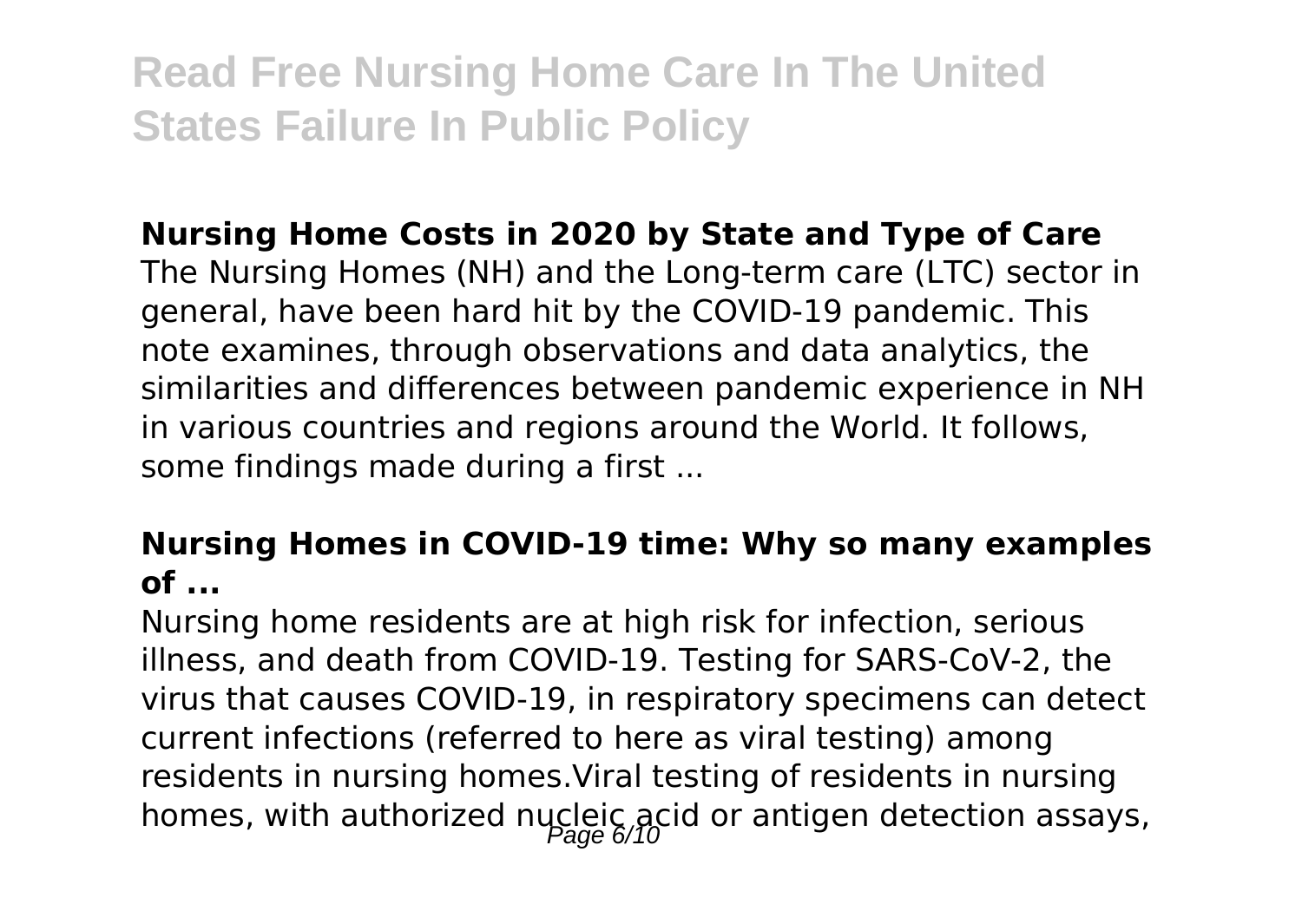### **Nursing Home Costs in 2020 by State and Type of Care**

The Nursing Homes (NH) and the Long-term care (LTC) sector in general, have been hard hit by the COVID-19 pandemic. This note examines, through observations and data analytics, the similarities and differences between pandemic experience in NH in various countries and regions around the World. It follows, some findings made during a first ...

#### **Nursing Homes in COVID-19 time: Why so many examples of ...**

Nursing home residents are at high risk for infection, serious illness, and death from COVID-19. Testing for SARS-CoV-2, the virus that causes COVID-19, in respiratory specimens can detect current infections (referred to here as viral testing) among residents in nursing homes.Viral testing of residents in nursing homes, with authorized nucleic acid or antigen detection assays,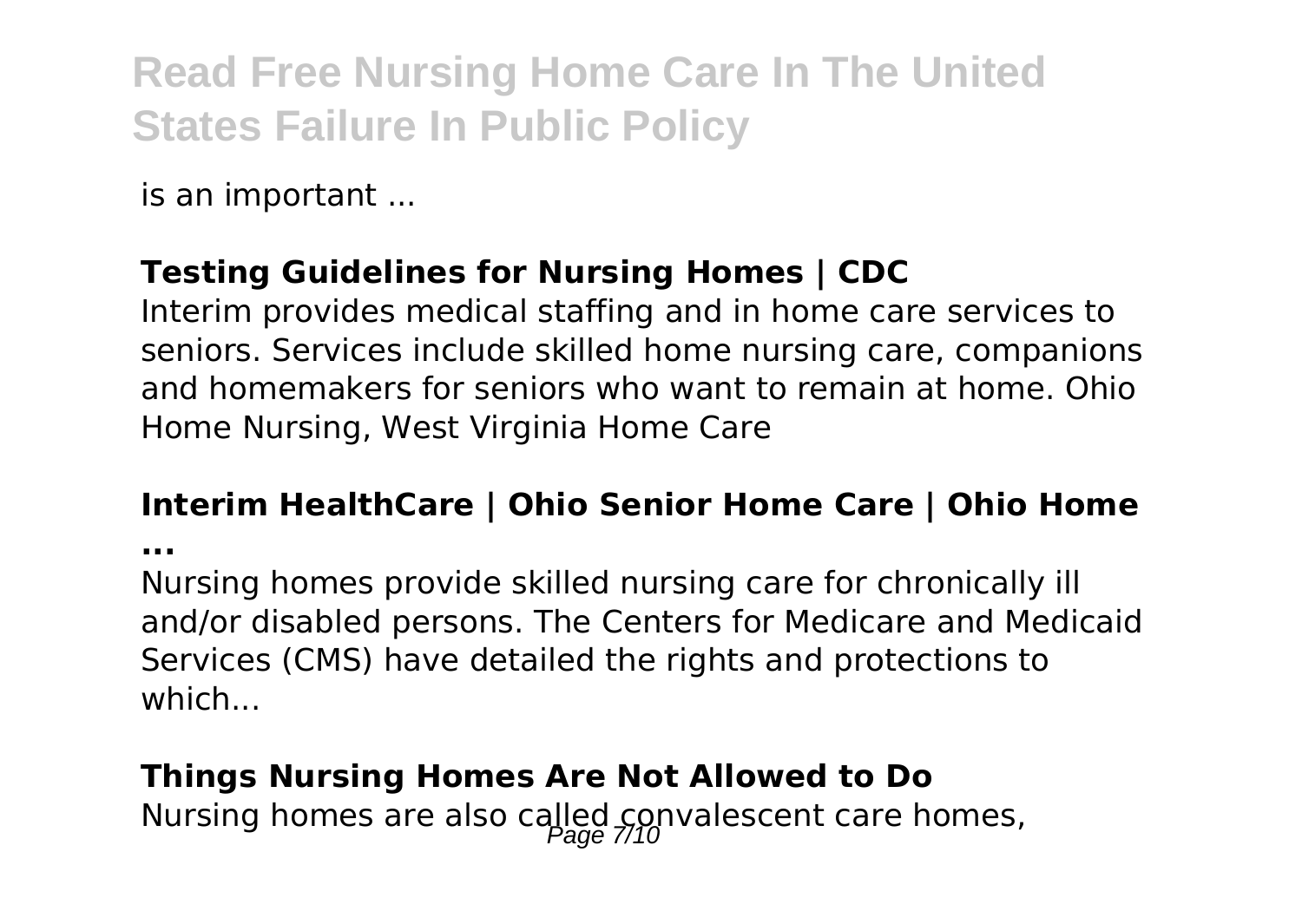is an important ...

### **Testing Guidelines for Nursing Homes | CDC**

Interim provides medical staffing and in home care services to seniors. Services include skilled home nursing care, companions and homemakers for seniors who want to remain at home. Ohio Home Nursing, West Virginia Home Care

#### **Interim HealthCare | Ohio Senior Home Care | Ohio Home**

**...**

Nursing homes provide skilled nursing care for chronically ill and/or disabled persons. The Centers for Medicare and Medicaid Services (CMS) have detailed the rights and protections to which

### **Things Nursing Homes Are Not Allowed to Do**

Nursing homes are also called convalescent care homes,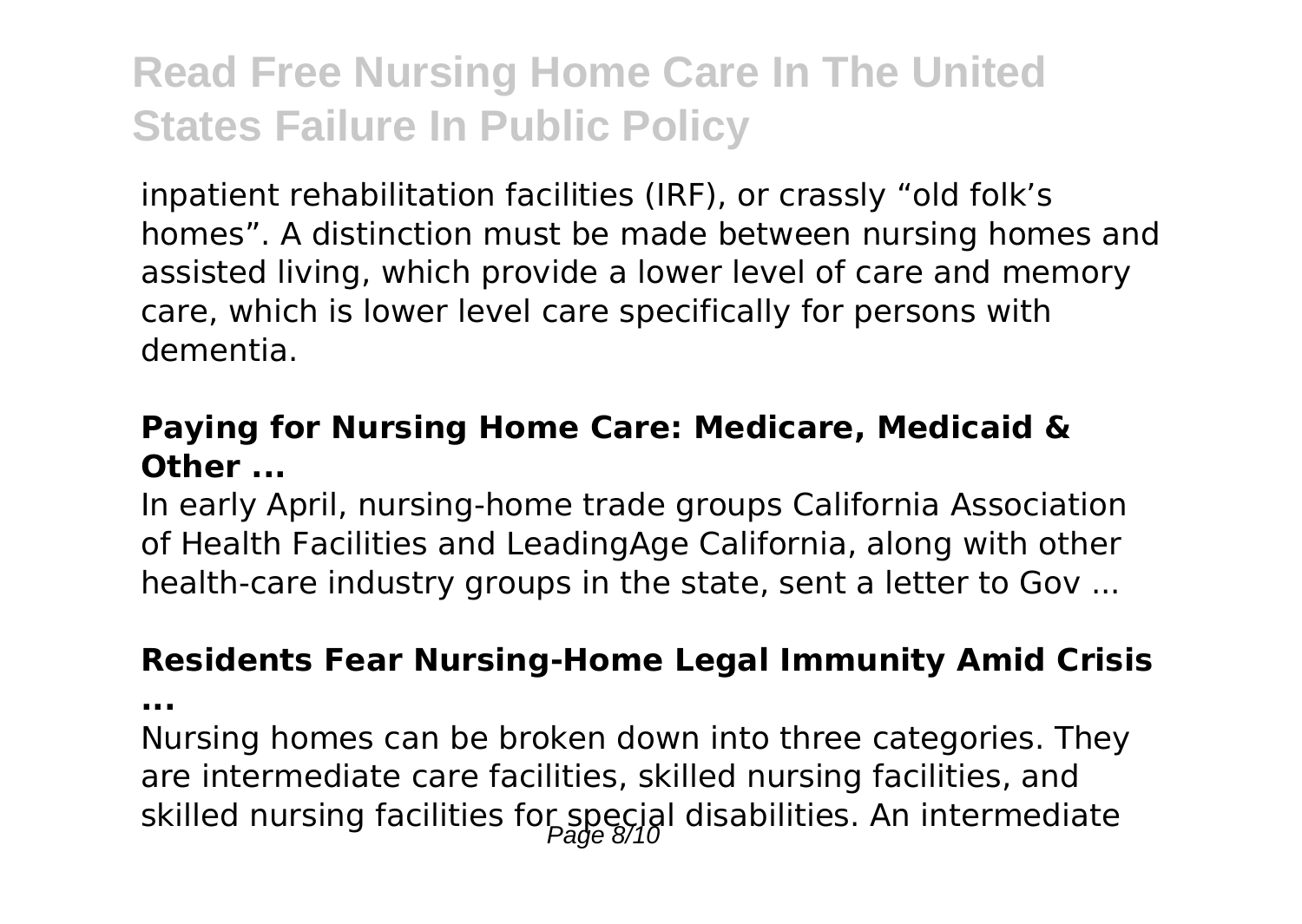inpatient rehabilitation facilities (IRF), or crassly "old folk's homes". A distinction must be made between nursing homes and assisted living, which provide a lower level of care and memory care, which is lower level care specifically for persons with dementia.

#### **Paying for Nursing Home Care: Medicare, Medicaid & Other ...**

In early April, nursing-home trade groups California Association of Health Facilities and LeadingAge California, along with other health-care industry groups in the state, sent a letter to Gov ...

#### **Residents Fear Nursing-Home Legal Immunity Amid Crisis**

**...**

Nursing homes can be broken down into three categories. They are intermediate care facilities, skilled nursing facilities, and skilled nursing facilities for special disabilities. An intermediate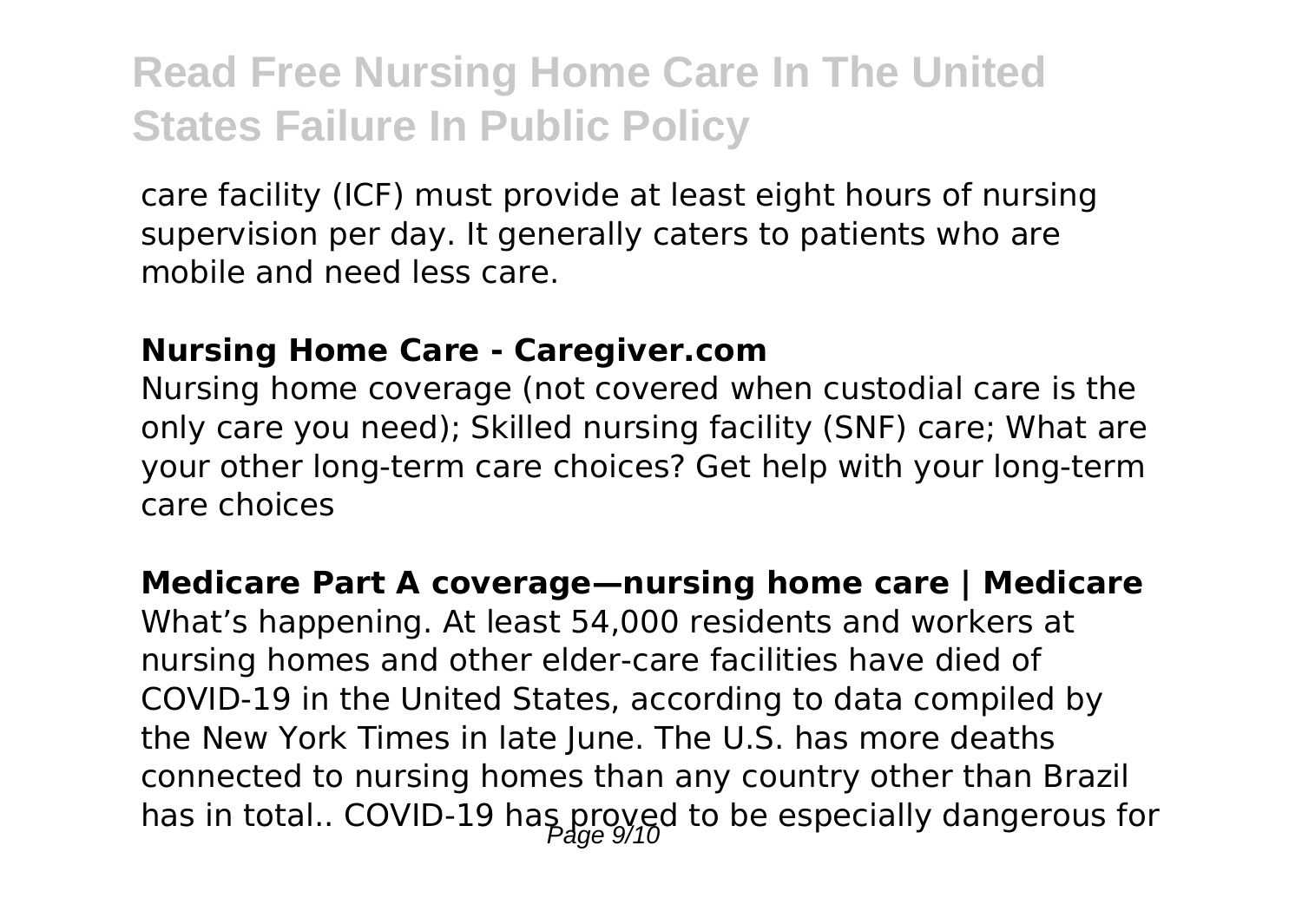care facility (ICF) must provide at least eight hours of nursing supervision per day. It generally caters to patients who are mobile and need less care.

#### **Nursing Home Care - Caregiver.com**

Nursing home coverage (not covered when custodial care is the only care you need); Skilled nursing facility (SNF) care; What are your other long-term care choices? Get help with your long-term care choices

#### **Medicare Part A coverage—nursing home care | Medicare**

What's happening. At least 54,000 residents and workers at nursing homes and other elder-care facilities have died of COVID-19 in the United States, according to data compiled by the New York Times in late June. The U.S. has more deaths connected to nursing homes than any country other than Brazil has in total.. COVID-19 has proved to be especially dangerous for